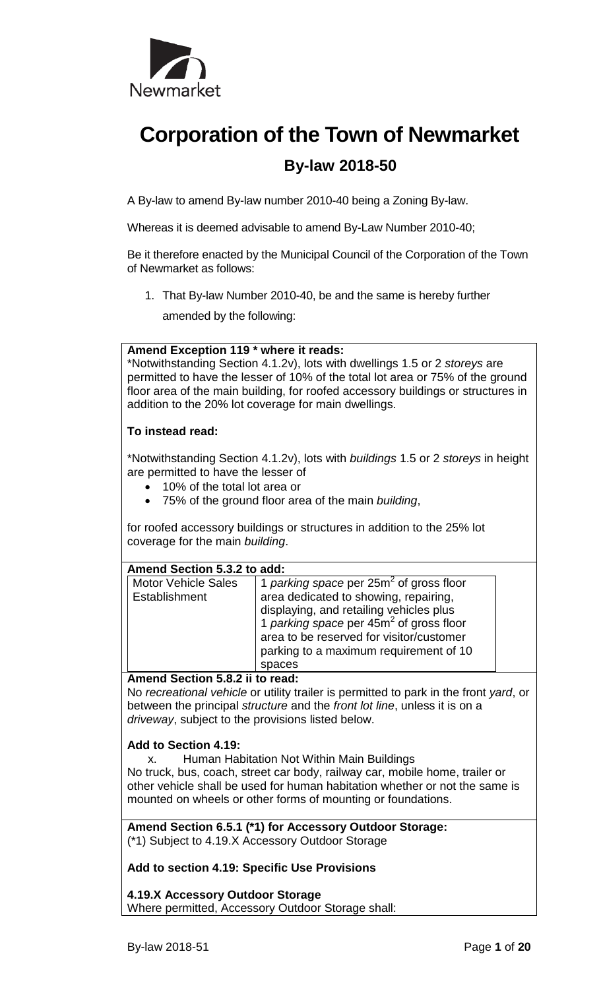

# **Corporation of the Town of Newmarket By-law 2018-50**

A By-law to amend By-law number 2010-40 being a Zoning By-law.

Whereas it is deemed advisable to amend By-Law Number 2010-40;

Be it therefore enacted by the Municipal Council of the Corporation of the Town of Newmarket as follows:

1. That By-law Number 2010-40, be and the same is hereby further

amended by the following:

#### **Amend Exception 119 \* where it reads:**

\*Notwithstanding Section 4.1.2v), lots with dwellings 1.5 or 2 *storeys* are permitted to have the lesser of 10% of the total lot area or 75% of the ground floor area of the main building, for roofed accessory buildings or structures in addition to the 20% lot coverage for main dwellings.

## **To instead read:**

\*Notwithstanding Section 4.1.2v), lots with *buildings* 1.5 or 2 *storeys* in height are permitted to have the lesser of

- 10% of the total lot area or
- 75% of the ground floor area of the main *building*,

for roofed accessory buildings or structures in addition to the 25% lot coverage for the main *building*.

| Amend Section 5.3.2 to add: |                                            |  |  |  |
|-----------------------------|--------------------------------------------|--|--|--|
| Motor Vehicle Sales         | 1 parking space per $25m^2$ of gross floor |  |  |  |
| Establishment               | area dedicated to showing, repairing,      |  |  |  |
|                             | dieploving and rotailing vobieles plus     |  |  |  |

| displaying, and retailing vehicles plus    |
|--------------------------------------------|
| 1 parking space per $45m^2$ of gross floor |
| area to be reserved for visitor/customer   |
| parking to a maximum requirement of 10     |
| spaces                                     |

#### **Amend Section 5.8.2 ii to read:**

No *recreational vehicle* or utility trailer is permitted to park in the front *yard*, or between the principal *structure* and the *front lot line*, unless it is on a *driveway*, subject to the provisions listed below.

## **Add to Section 4.19:**

x. Human Habitation Not Within Main Buildings No truck, bus, coach, street car body, railway car, mobile home, trailer or other vehicle shall be used for human habitation whether or not the same is mounted on wheels or other forms of mounting or foundations.

**Amend Section 6.5.1 (\*1) for Accessory Outdoor Storage:** (\*1) Subject to 4.19.X Accessory Outdoor Storage

## **Add to section 4.19: Specific Use Provisions**

**4.19.X Accessory Outdoor Storage** Where permitted, Accessory Outdoor Storage shall: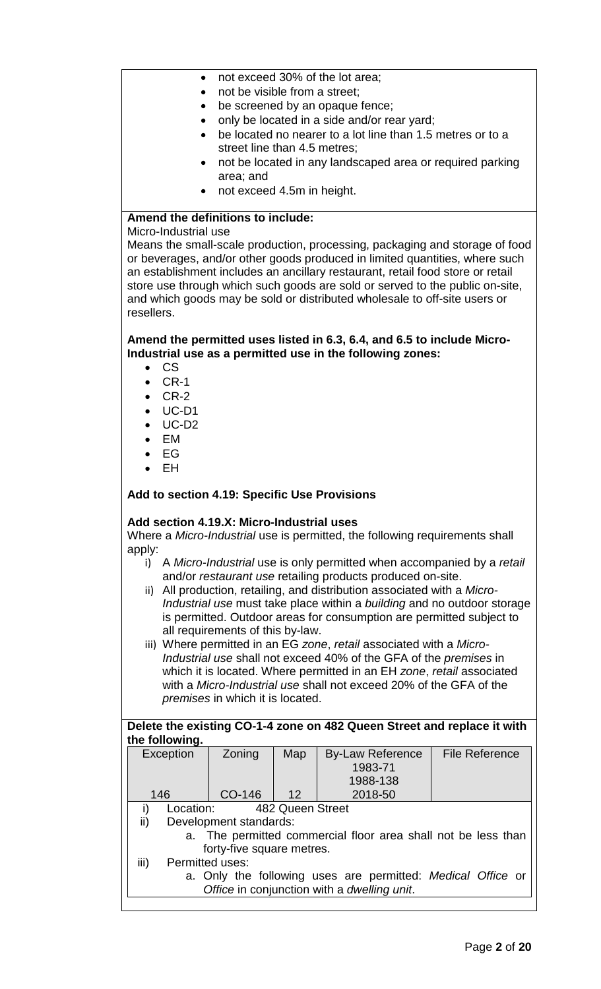- not exceed 30% of the lot area;
- not be visible from a street;
- be screened by an opaque fence;
- only be located in a side and/or rear yard;
- be located no nearer to a lot line than 1.5 metres or to a street line than 4.5 metres;
- not be located in any landscaped area or required parking area; and
- not exceed 4.5m in height.

## **Amend the definitions to include:**

Micro-Industrial use

Means the small-scale production, processing, packaging and storage of food or beverages, and/or other goods produced in limited quantities, where such an establishment includes an ancillary restaurant, retail food store or retail store use through which such goods are sold or served to the public on-site, and which goods may be sold or distributed wholesale to off-site users or resellers.

#### **Amend the permitted uses listed in 6.3, 6.4, and 6.5 to include Micro-Industrial use as a permitted use in the following zones:**

- CS
- CR-1
- CR-2
- UC-D1
- UC-D2
- EM
- EG
- EH

#### **Add to section 4.19: Specific Use Provisions**

#### **Add section 4.19.X: Micro-Industrial uses**

Where a *Micro-Industrial* use is permitted, the following requirements shall apply:

- i) A *Micro-Industrial* use is only permitted when accompanied by a *retail* and/or *restaurant use* retailing products produced on-site.
- ii) All production, retailing, and distribution associated with a *Micro-Industrial use* must take place within a *building* and no outdoor storage is permitted. Outdoor areas for consumption are permitted subject to all requirements of this by-law.
- iii) Where permitted in an EG *zone*, *retail* associated with a *Micro-Industrial use* shall not exceed 40% of the GFA of the *premises* in which it is located. Where permitted in an EH *zone*, *retail* associated with a *Micro-Industrial use* shall not exceed 20% of the GFA of the *premises* in which it is located.

## **Delete the existing CO-1-4 zone on 482 Queen Street and replace it with the following.**

| Exception                                                     | Zoning | Map              | <b>By-Law Reference</b> | <b>File Reference</b> |
|---------------------------------------------------------------|--------|------------------|-------------------------|-----------------------|
|                                                               |        |                  | 1983-71                 |                       |
|                                                               |        |                  | 1988-138                |                       |
| 146                                                           | CO-146 | 12               | 2018-50                 |                       |
| Location:<br>i)                                               |        | 482 Queen Street |                         |                       |
| ii)<br>Development standards:                                 |        |                  |                         |                       |
| a. The permitted commercial floor area shall not be less than |        |                  |                         |                       |
| forty-five square metres.                                     |        |                  |                         |                       |
| iii)<br>Permitted uses:                                       |        |                  |                         |                       |
| a. Only the following uses are permitted: Medical Office or   |        |                  |                         |                       |
| Office in conjunction with a dwelling unit.                   |        |                  |                         |                       |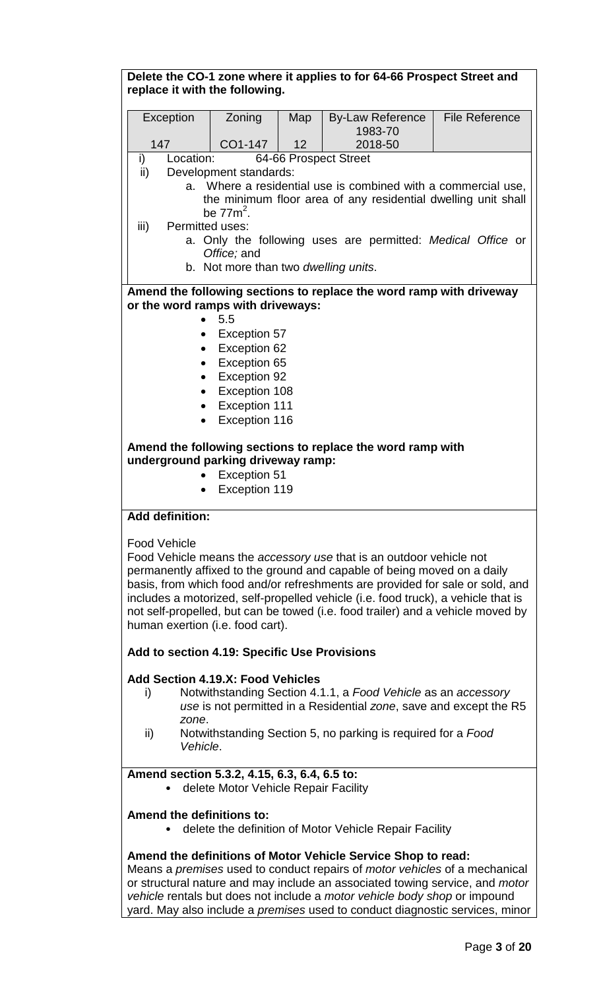| Delete the CO-1 zone where it applies to for 64-66 Prospect Street and<br>replace it with the following.                                                                                                                                                                                                                                                                                                                                                           |                                      |                 |                                                                                                                                     |                       |  |
|--------------------------------------------------------------------------------------------------------------------------------------------------------------------------------------------------------------------------------------------------------------------------------------------------------------------------------------------------------------------------------------------------------------------------------------------------------------------|--------------------------------------|-----------------|-------------------------------------------------------------------------------------------------------------------------------------|-----------------------|--|
|                                                                                                                                                                                                                                                                                                                                                                                                                                                                    |                                      |                 |                                                                                                                                     |                       |  |
| Exception                                                                                                                                                                                                                                                                                                                                                                                                                                                          | Zoning                               | Map             | <b>By-Law Reference</b><br>1983-70                                                                                                  | <b>File Reference</b> |  |
| 147                                                                                                                                                                                                                                                                                                                                                                                                                                                                | CO1-147                              | 12 <sup>2</sup> | 2018-50                                                                                                                             |                       |  |
| i)<br>Location:                                                                                                                                                                                                                                                                                                                                                                                                                                                    |                                      |                 | 64-66 Prospect Street                                                                                                               |                       |  |
| ii)                                                                                                                                                                                                                                                                                                                                                                                                                                                                | Development standards:               |                 |                                                                                                                                     |                       |  |
|                                                                                                                                                                                                                                                                                                                                                                                                                                                                    | be $772$ .                           |                 | a. Where a residential use is combined with a commercial use,<br>the minimum floor area of any residential dwelling unit shall      |                       |  |
| iii)                                                                                                                                                                                                                                                                                                                                                                                                                                                               | Permitted uses:                      |                 |                                                                                                                                     |                       |  |
|                                                                                                                                                                                                                                                                                                                                                                                                                                                                    |                                      |                 | a. Only the following uses are permitted: Medical Office or                                                                         |                       |  |
|                                                                                                                                                                                                                                                                                                                                                                                                                                                                    | Office; and                          |                 |                                                                                                                                     |                       |  |
|                                                                                                                                                                                                                                                                                                                                                                                                                                                                    | b. Not more than two dwelling units. |                 |                                                                                                                                     |                       |  |
|                                                                                                                                                                                                                                                                                                                                                                                                                                                                    |                                      |                 | Amend the following sections to replace the word ramp with driveway                                                                 |                       |  |
| or the word ramps with driveways:                                                                                                                                                                                                                                                                                                                                                                                                                                  |                                      |                 |                                                                                                                                     |                       |  |
|                                                                                                                                                                                                                                                                                                                                                                                                                                                                    | 5.5                                  |                 |                                                                                                                                     |                       |  |
|                                                                                                                                                                                                                                                                                                                                                                                                                                                                    | <b>Exception 57</b>                  |                 |                                                                                                                                     |                       |  |
|                                                                                                                                                                                                                                                                                                                                                                                                                                                                    | <b>Exception 62</b><br>$\bullet$     |                 |                                                                                                                                     |                       |  |
|                                                                                                                                                                                                                                                                                                                                                                                                                                                                    | <b>Exception 65</b><br>$\bullet$     |                 |                                                                                                                                     |                       |  |
|                                                                                                                                                                                                                                                                                                                                                                                                                                                                    | <b>Exception 92</b><br>$\bullet$     |                 |                                                                                                                                     |                       |  |
|                                                                                                                                                                                                                                                                                                                                                                                                                                                                    | Exception 108<br>$\bullet$           |                 |                                                                                                                                     |                       |  |
|                                                                                                                                                                                                                                                                                                                                                                                                                                                                    | Exception 111<br>$\bullet$           |                 |                                                                                                                                     |                       |  |
|                                                                                                                                                                                                                                                                                                                                                                                                                                                                    | Exception 116                        |                 |                                                                                                                                     |                       |  |
| Amend the following sections to replace the word ramp with<br>underground parking driveway ramp:<br><b>Exception 51</b><br>Exception 119                                                                                                                                                                                                                                                                                                                           |                                      |                 |                                                                                                                                     |                       |  |
| <b>Add definition:</b>                                                                                                                                                                                                                                                                                                                                                                                                                                             |                                      |                 |                                                                                                                                     |                       |  |
| <b>Food Vehicle</b><br>Food Vehicle means the accessory use that is an outdoor vehicle not<br>permanently affixed to the ground and capable of being moved on a daily<br>basis, from which food and/or refreshments are provided for sale or sold, and<br>includes a motorized, self-propelled vehicle (i.e. food truck), a vehicle that is<br>not self-propelled, but can be towed (i.e. food trailer) and a vehicle moved by<br>human exertion (i.e. food cart). |                                      |                 |                                                                                                                                     |                       |  |
| Add to section 4.19: Specific Use Provisions                                                                                                                                                                                                                                                                                                                                                                                                                       |                                      |                 |                                                                                                                                     |                       |  |
| <b>Add Section 4.19.X: Food Vehicles</b>                                                                                                                                                                                                                                                                                                                                                                                                                           |                                      |                 |                                                                                                                                     |                       |  |
| i)<br>zone.                                                                                                                                                                                                                                                                                                                                                                                                                                                        |                                      |                 | Notwithstanding Section 4.1.1, a Food Vehicle as an accessory<br>use is not permitted in a Residential zone, save and except the R5 |                       |  |
| ii)<br>Vehicle.                                                                                                                                                                                                                                                                                                                                                                                                                                                    |                                      |                 | Notwithstanding Section 5, no parking is required for a Food                                                                        |                       |  |

## **Amend section 5.3.2, 4.15, 6.3, 6.4, 6.5 to:**

• delete Motor Vehicle Repair Facility

#### **Amend the definitions to:**

• delete the definition of Motor Vehicle Repair Facility

## **Amend the definitions of Motor Vehicle Service Shop to read:**

Means a *premises* used to conduct repairs of *motor vehicles* of a mechanical or structural nature and may include an associated towing service, and *motor vehicle* rentals but does not include a *motor vehicle body shop* or impound yard. May also include a *premises* used to conduct diagnostic services, minor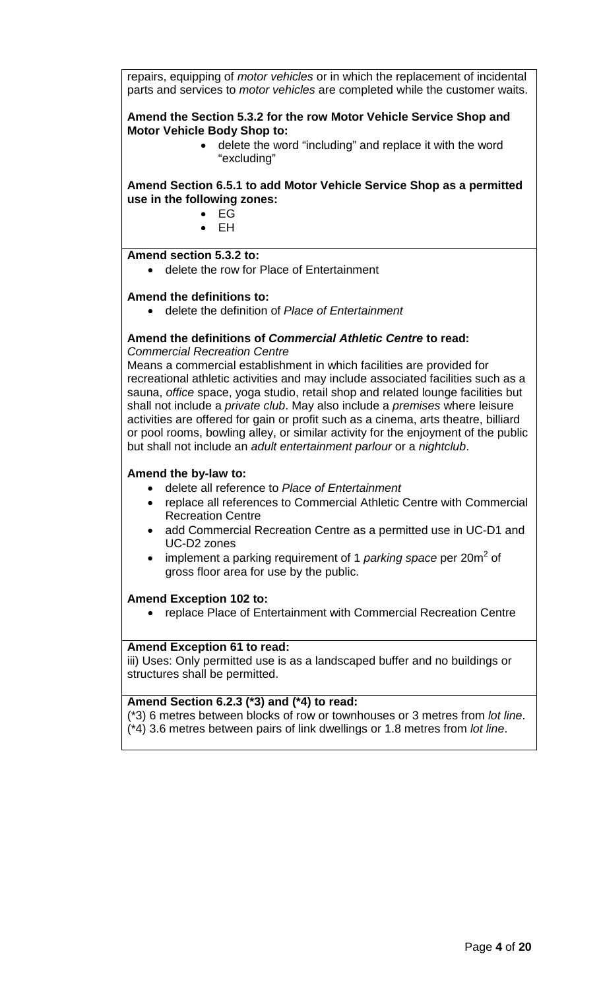repairs, equipping of *motor vehicles* or in which the replacement of incidental parts and services to *motor vehicles* are completed while the customer waits.

**Amend the Section 5.3.2 for the row Motor Vehicle Service Shop and Motor Vehicle Body Shop to:**

• delete the word "including" and replace it with the word "excluding"

**Amend Section 6.5.1 to add Motor Vehicle Service Shop as a permitted use in the following zones:**

- EG
- EH

#### **Amend section 5.3.2 to:**

• delete the row for Place of Entertainment

#### **Amend the definitions to:**

• delete the definition of *Place of Entertainment*

#### **Amend the definitions of** *Commercial Athletic Centre* **to read:** *Commercial Recreation Centre*

Means a commercial establishment in which facilities are provided for recreational athletic activities and may include associated facilities such as a sauna, *office* space, yoga studio, retail shop and related lounge facilities but shall not include a *private club*. May also include a *premises* where leisure activities are offered for gain or profit such as a cinema, arts theatre, billiard or pool rooms, bowling alley, or similar activity for the enjoyment of the public but shall not include an *adult entertainment parlour* or a *nightclub*.

#### **Amend the by-law to:**

- delete all reference to *Place of Entertainment*
- replace all references to Commercial Athletic Centre with Commercial Recreation Centre
- add Commercial Recreation Centre as a permitted use in UC-D1 and UC-D2 zones
- implement a parking requirement of 1 *parking space* per 20m<sup>2</sup> of gross floor area for use by the public.

#### **Amend Exception 102 to:**

• replace Place of Entertainment with Commercial Recreation Centre

#### **Amend Exception 61 to read:**

iii) Uses: Only permitted use is as a landscaped buffer and no buildings or structures shall be permitted.

## **Amend Section 6.2.3 (\*3) and (\*4) to read:**

(\*3) 6 metres between blocks of row or townhouses or 3 metres from *lot line*. (\*4) 3.6 metres between pairs of link dwellings or 1.8 metres from *lot line*.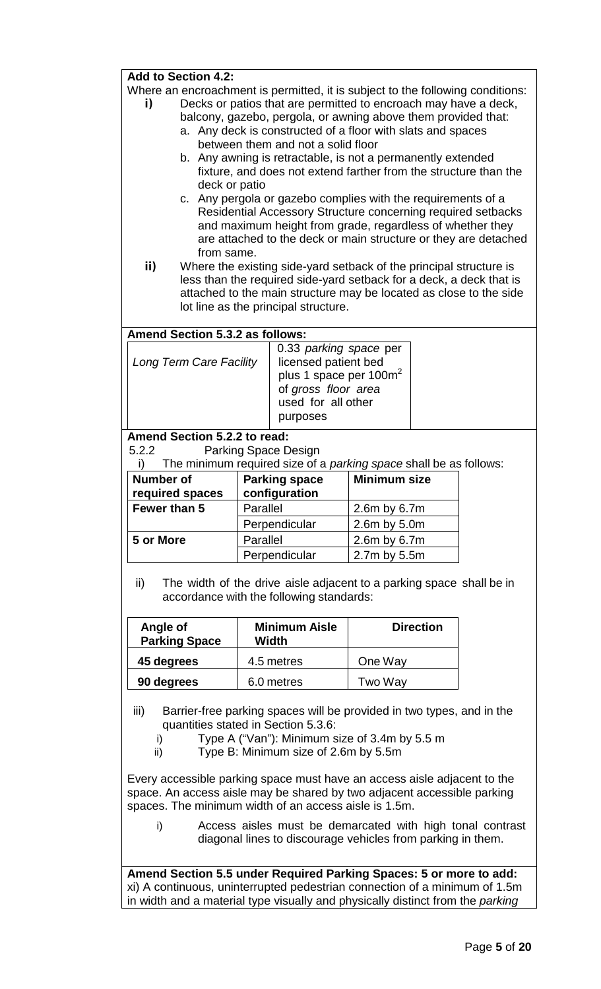#### **Add to Section 4.2:**

Where an encroachment is permitted, it is subject to the following conditions:

- **i)** Decks or patios that are permitted to encroach may have a deck, balcony, gazebo, pergola, or awning above them provided that:
	- a. Any deck is constructed of a floor with slats and spaces between them and not a solid floor
	- b. Any awning is retractable, is not a permanently extended fixture, and does not extend farther from the structure than the deck or patio
	- c. Any pergola or gazebo complies with the requirements of a Residential Accessory Structure concerning required setbacks and maximum height from grade, regardless of whether they are attached to the deck or main structure or they are detached from same.
- **ii)** Where the existing side-yard setback of the principal structure is less than the required side-yard setback for a deck, a deck that is attached to the main structure may be located as close to the side lot line as the principal structure.

#### **Amend Section 5.3.2 as follows:**

| 0.33 parking space per<br>licensed patient bed<br>plus 1 space per 100m <sup>2</sup><br>of gross floor area<br>used for all other | Long Term Care Facility |
|-----------------------------------------------------------------------------------------------------------------------------------|-------------------------|
|-----------------------------------------------------------------------------------------------------------------------------------|-------------------------|

## **Amend Section 5.2.2 to read:**<br>5.2.2 Parking Space D

Parking Space Design

i) The minimum required size of a *parking space* shall be as follows:

| Number of<br>required spaces | <b>Parking space</b><br>configuration | <b>Minimum size</b> |
|------------------------------|---------------------------------------|---------------------|
| Fewer than 5                 | Parallel                              | 2.6m by 6.7m        |
|                              | Perpendicular                         | 2.6m by 5.0m        |
| 5 or More                    | Parallel                              | 2.6m by 6.7m        |
| Perpendicular                |                                       | 2.7m by 5.5m        |

ii) The width of the drive aisle adjacent to a parking space shall be in accordance with the following standards:

| <b>Minimum Aisle</b><br>Angle of<br><b>Parking Space</b><br>Width |            | <b>Direction</b> |
|-------------------------------------------------------------------|------------|------------------|
| 45 degrees                                                        | 4.5 metres | One Way          |
| 90 degrees                                                        | 6.0 metres | Two Way          |

- iii) Barrier-free parking spaces will be provided in two types, and in the quantities stated in Section 5.3.6:
	- i) Type A ("Van"): Minimum size of 3.4m by 5.5 m
	- ii) Type B: Minimum size of 2.6m by 5.5m

Every accessible parking space must have an access aisle adjacent to the space. An access aisle may be shared by two adjacent accessible parking spaces. The minimum width of an access aisle is 1.5m.

i) Access aisles must be demarcated with high tonal contrast diagonal lines to discourage vehicles from parking in them.

**Amend Section 5.5 under Required Parking Spaces: 5 or more to add:** xi) A continuous, uninterrupted pedestrian connection of a minimum of 1.5m in width and a material type visually and physically distinct from the *parking*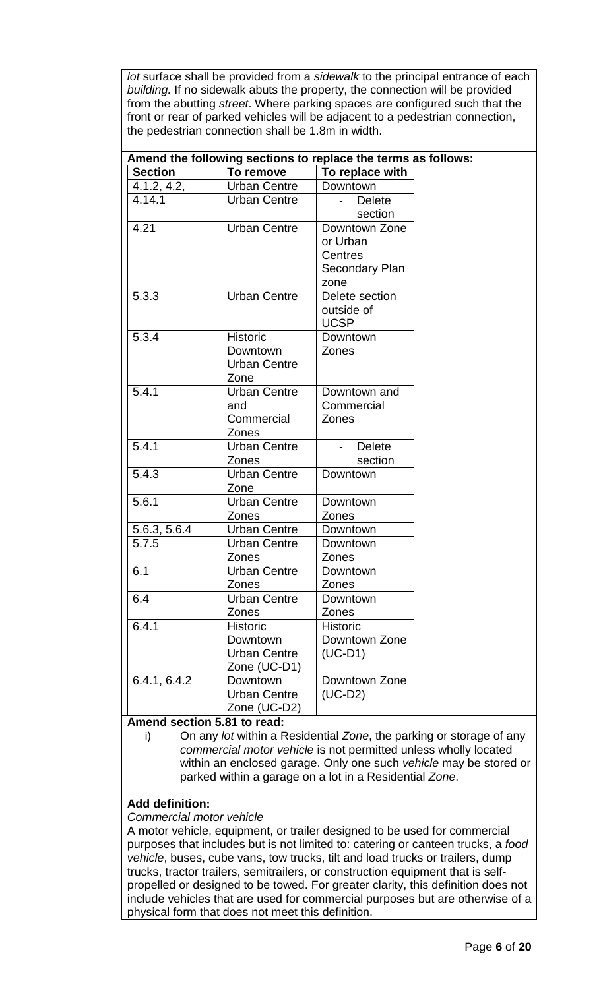*lot* surface shall be provided from a *sidewalk* to the principal entrance of each *building.* If no sidewalk abuts the property, the connection will be provided from the abutting *street*. Where parking spaces are configured such that the front or rear of parked vehicles will be adjacent to a pedestrian connection, the pedestrian connection shall be 1.8m in width.

| Amend the following sections to replace the terms as follows: |                              |                   |  |  |
|---------------------------------------------------------------|------------------------------|-------------------|--|--|
| <b>Section</b>                                                | To remove                    | To replace with   |  |  |
| 4.1.2, 4.2,                                                   | <b>Urban Centre</b>          | Downtown          |  |  |
| 4.14.1                                                        | Urban Centre                 | <b>Delete</b>     |  |  |
|                                                               |                              | section           |  |  |
| 4.21                                                          | <b>Urban Centre</b>          | Downtown Zone     |  |  |
|                                                               |                              | or Urban          |  |  |
|                                                               |                              | Centres           |  |  |
|                                                               |                              | Secondary Plan    |  |  |
|                                                               |                              | zone              |  |  |
| 5.3.3                                                         | <b>Urban Centre</b>          | Delete section    |  |  |
|                                                               |                              | outside of        |  |  |
|                                                               |                              | <b>UCSP</b>       |  |  |
| 5.3.4                                                         | <b>Historic</b>              | Downtown          |  |  |
|                                                               | Downtown                     | Zones             |  |  |
|                                                               | Urban Centre                 |                   |  |  |
|                                                               | Zone                         |                   |  |  |
| 5.4.1                                                         | <b>Urban Centre</b>          | Downtown and      |  |  |
|                                                               | and                          | Commercial        |  |  |
|                                                               | Commercial                   | Zones             |  |  |
|                                                               | Zones                        |                   |  |  |
| 5.4.1                                                         | <b>Urban Centre</b>          | <b>Delete</b>     |  |  |
|                                                               | Zones                        | section           |  |  |
| 5.4.3                                                         | <b>Urban Centre</b>          | Downtown          |  |  |
|                                                               | Zone                         |                   |  |  |
| 5.6.1                                                         | <b>Urban Centre</b>          | Downtown          |  |  |
|                                                               | Zones<br><b>Urban Centre</b> | Zones             |  |  |
| 5.6.3, 5.6.4                                                  |                              | Downtown          |  |  |
| 5.7.5                                                         | Urban Centre<br>Zones        | Downtown<br>Zones |  |  |
| 6.1                                                           | <b>Urban Centre</b>          | Downtown          |  |  |
|                                                               | Zones                        | Zones             |  |  |
| 6.4                                                           | <b>Urban Centre</b>          | Downtown          |  |  |
|                                                               | Zones                        | Zones             |  |  |
| 6.4.1                                                         | <b>Historic</b>              | <b>Historic</b>   |  |  |
|                                                               | Downtown                     | Downtown Zone     |  |  |
|                                                               | <b>Urban Centre</b>          | $(UC-D1)$         |  |  |
|                                                               | Zone (UC-D1)                 |                   |  |  |
| 6.4.1, 6.4.2                                                  | Downtown                     | Downtown Zone     |  |  |
|                                                               | <b>Urban Centre</b>          | $(UC-D2)$         |  |  |
|                                                               | Zone (UC-D2)                 |                   |  |  |

#### **Amend section 5.81 to read:**

i) On any *lot* within a Residential *Zone*, the parking or storage of any *commercial motor vehicle* is not permitted unless wholly located within an enclosed garage. Only one such *vehicle* may be stored or parked within a garage on a lot in a Residential *Zone*.

## **Add definition:**

#### *Commercial motor vehicle*

A motor vehicle, equipment, or trailer designed to be used for commercial purposes that includes but is not limited to: catering or canteen trucks, a *food vehicle*, buses, cube vans, tow trucks, tilt and load trucks or trailers, dump trucks, tractor trailers, semitrailers, or construction equipment that is selfpropelled or designed to be towed. For greater clarity, this definition does not include vehicles that are used for commercial purposes but are otherwise of a physical form that does not meet this definition.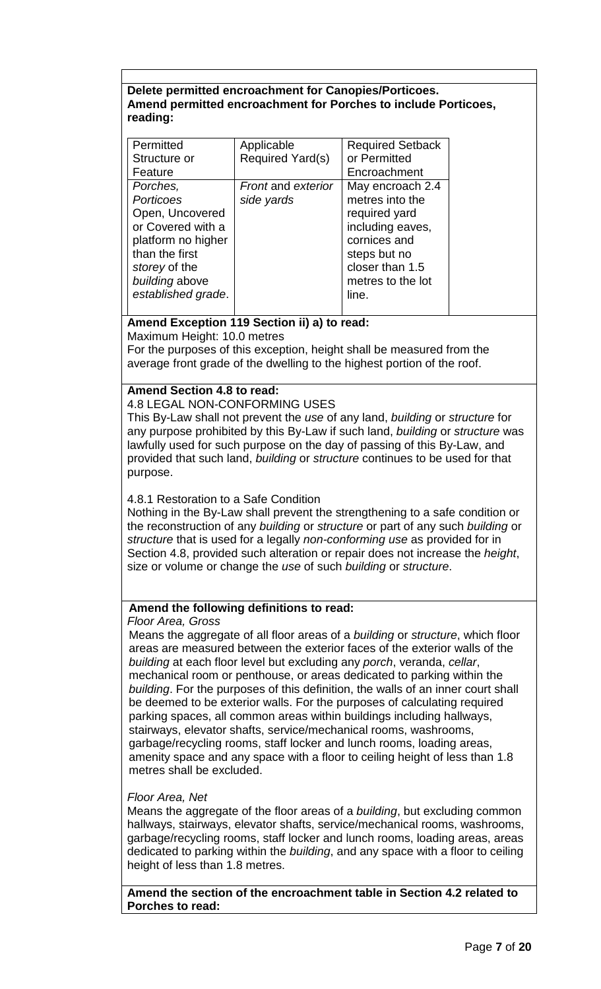## **Delete permitted encroachment for Canopies/Porticoes. Amend permitted encroachment for Porches to include Porticoes, reading:**

| Applicable<br>Required Yard(s) | <b>Required Setback</b><br>or Permitted |
|--------------------------------|-----------------------------------------|
|                                | Encroachment                            |
|                                | May encroach 2.4<br>metres into the     |
|                                | required yard                           |
|                                | including eaves,                        |
|                                | cornices and                            |
|                                | steps but no                            |
|                                | closer than 1.5                         |
|                                | metres to the lot                       |
|                                | line.                                   |
|                                | <b>Front and exterior</b><br>side yards |

## **Amend Exception 119 Section ii) a) to read:**

Maximum Height: 10.0 metres

For the purposes of this exception, height shall be measured from the average front grade of the dwelling to the highest portion of the roof.

## **Amend Section 4.8 to read:**

4.8 LEGAL NON-CONFORMING USES

This By-Law shall not prevent the *use* of any land, *building* or *structure* for any purpose prohibited by this By-Law if such land, *building* or *structure* was lawfully used for such purpose on the day of passing of this By-Law, and provided that such land, *building* or *structure* continues to be used for that purpose.

## 4.8.1 Restoration to a Safe Condition

Nothing in the By-Law shall prevent the strengthening to a safe condition or the reconstruction of any *building* or *structure* or part of any such *building* or *structure* that is used for a legally *non-conforming use* as provided for in Section 4.8, provided such alteration or repair does not increase the *height*, size or volume or change the *use* of such *building* or *structure*.

## **Amend the following definitions to read:**

## *Floor Area, Gross*

Means the aggregate of all floor areas of a *building* or *structure*, which floor areas are measured between the exterior faces of the exterior walls of the *building* at each floor level but excluding any *porch*, veranda, *cellar*, mechanical room or penthouse, or areas dedicated to parking within the *building*. For the purposes of this definition, the walls of an inner court shall be deemed to be exterior walls. For the purposes of calculating required parking spaces, all common areas within buildings including hallways, stairways, elevator shafts, service/mechanical rooms, washrooms, garbage/recycling rooms, staff locker and lunch rooms, loading areas, amenity space and any space with a floor to ceiling height of less than 1.8 metres shall be excluded.

## *Floor Area, Net*

Means the aggregate of the floor areas of a *building*, but excluding common hallways, stairways, elevator shafts, service/mechanical rooms, washrooms, garbage/recycling rooms, staff locker and lunch rooms, loading areas, areas dedicated to parking within the *building*, and any space with a floor to ceiling height of less than 1.8 metres.

**Amend the section of the encroachment table in Section 4.2 related to Porches to read:**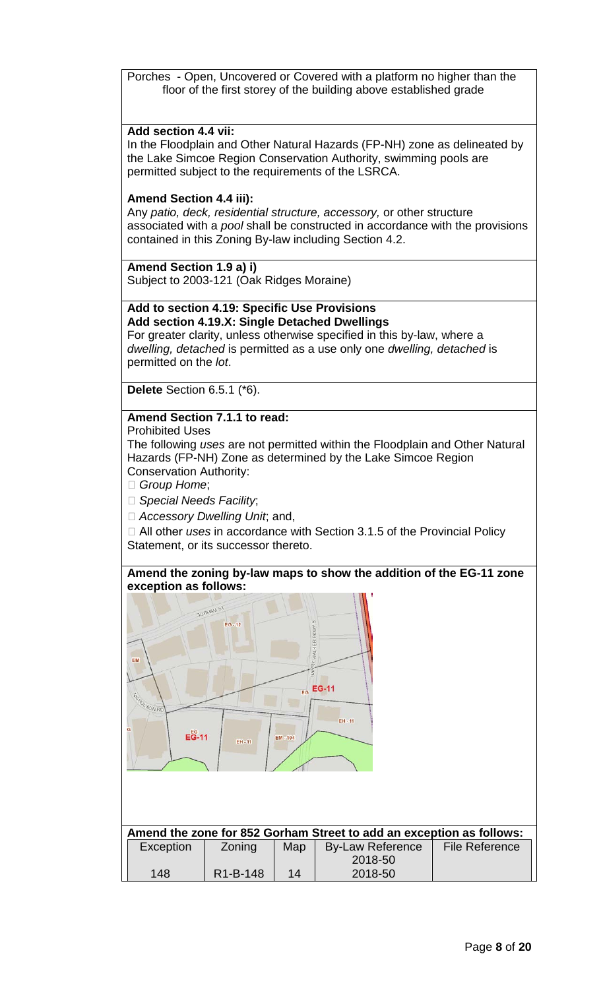Porches - Open, Uncovered or Covered with a platform no higher than the floor of the first storey of the building above established grade

#### **Add section 4.4 vii:**

In the Floodplain and Other Natural Hazards (FP-NH) zone as delineated by the Lake Simcoe Region Conservation Authority, swimming pools are permitted subject to the requirements of the LSRCA.

#### **Amend Section 4.4 iii):**

Any *patio, deck, residential structure, accessory,* or other structure associated with a *pool* shall be constructed in accordance with the provisions contained in this Zoning By-law including Section 4.2.

**Amend Section 1.9 a) i)** Subject to 2003-121 (Oak Ridges Moraine)

## **Add to section 4.19: Specific Use Provisions Add section 4.19.X: Single Detached Dwellings**

For greater clarity, unless otherwise specified in this by-law, where a *dwelling, detached* is permitted as a use only one *dwelling, detached* is permitted on the *lot*.

**Delete** Section 6.5.1 (\*6).

## **Amend Section 7.1.1 to read:**

Prohibited Uses

The following *uses* are not permitted within the Floodplain and Other Natural Hazards (FP-NH) Zone as determined by the Lake Simcoe Region Conservation Authority:

*Group Home*;

*Special Needs Facility*;

*Accessory Dwelling Unit*; and,

□ All other *uses* in accordance with Section 3.1.5 of the Provincial Policy Statement, or its successor thereto.





| Amend the zone for 852 Gorham Street to add an exception as follows: |                       |     |                         |                       |
|----------------------------------------------------------------------|-----------------------|-----|-------------------------|-----------------------|
| Exception                                                            | Zoning                | Map | <b>By-Law Reference</b> | <b>File Reference</b> |
|                                                                      |                       |     | 2018-50                 |                       |
| 148                                                                  | R <sub>1</sub> -B-148 | 14  | 2018-50                 |                       |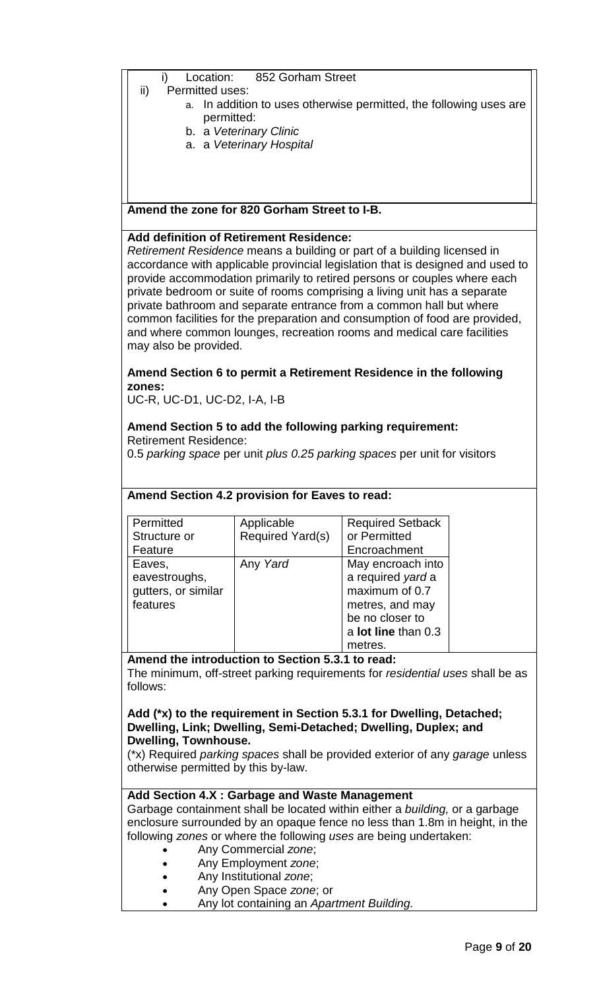#### i) Location: 852 Gorham Street

- ii) Permitted uses:
	- a. In addition to uses otherwise permitted, the following uses are permitted:
	- b. a *Veterinary Clinic*
	- a. a *Veterinary Hospital*

#### **Amend the zone for 820 Gorham Street to I-B.**

#### **Add definition of Retirement Residence:**

*Retirement Residence* means a building or part of a building licensed in accordance with applicable provincial legislation that is designed and used to provide accommodation primarily to retired persons or couples where each private bedroom or suite of rooms comprising a living unit has a separate private bathroom and separate entrance from a common hall but where common facilities for the preparation and consumption of food are provided, and where common lounges, recreation rooms and medical care facilities may also be provided.

## **Amend Section 6 to permit a Retirement Residence in the following zones:**

UC-R, UC-D1, UC-D2, I-A, I-B

#### **Amend Section 5 to add the following parking requirement:** Retirement Residence:

0.5 *parking space* per unit *plus 0.25 parking spaces* per unit for visitors

|                     | Amend Section 4.2 provision for Eaves to read: |                         |
|---------------------|------------------------------------------------|-------------------------|
| Permitted           | Applicable                                     | <b>Required Setback</b> |
| Structure or        | Required Yard(s)                               | or Permitted            |
| Feature             |                                                | Encroachment            |
| Eaves,              | Any Yard                                       | May encroach into       |
| eavestroughs,       |                                                | a required yard a       |
| gutters, or similar |                                                | maximum of 0.7          |
| features            |                                                | metres, and may         |
|                     |                                                | be no closer to         |
|                     |                                                | a lot line than 0.3     |
|                     |                                                | metres.                 |

#### **Amend the introduction to Section 5.3.1 to read:**

The minimum, off-street parking requirements for *residential uses* shall be as follows:

#### **Add (\*x) to the requirement in Section 5.3.1 for Dwelling, Detached; Dwelling, Link; Dwelling, Semi-Detached; Dwelling, Duplex; and Dwelling, Townhouse.**

(\*x) Required *parking spaces* shall be provided exterior of any *garage* unless otherwise permitted by this by-law.

## **Add Section 4.X : Garbage and Waste Management**

Garbage containment shall be located within either a *building,* or a garbage enclosure surrounded by an opaque fence no less than 1.8m in height, in the following *zones* or where the following *uses* are being undertaken:

- Any Commercial *zone*;
- Any Employment *zone*;
- Any Institutional *zone*;
- Any Open Space *zone*; or
- Any lot containing an *Apartment Building.*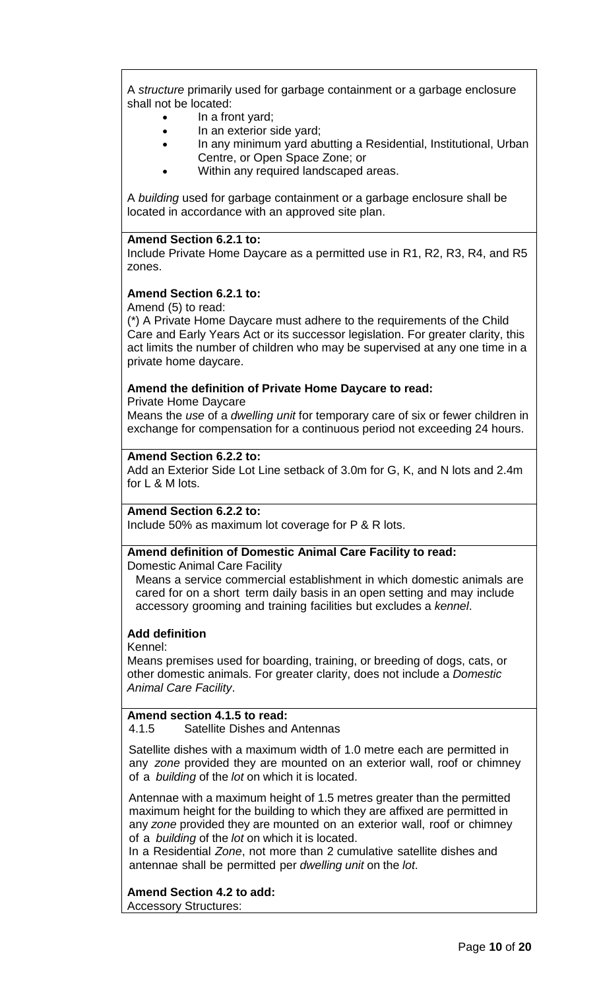A *structure* primarily used for garbage containment or a garbage enclosure shall not be located:

- In a front yard;
- In an exterior side yard;
- In any minimum yard abutting a Residential, Institutional, Urban Centre, or Open Space Zone; or
- Within any required landscaped areas.

A *building* used for garbage containment or a garbage enclosure shall be located in accordance with an approved site plan.

#### **Amend Section 6.2.1 to:**

Include Private Home Daycare as a permitted use in R1, R2, R3, R4, and R5 zones.

## **Amend Section 6.2.1 to:**

Amend (5) to read:

(\*) A Private Home Daycare must adhere to the requirements of the Child Care and Early Years Act or its successor legislation. For greater clarity, this act limits the number of children who may be supervised at any one time in a private home daycare.

## **Amend the definition of Private Home Daycare to read:**

Private Home Daycare

Means the *use* of a *dwelling unit* for temporary care of six or fewer children in exchange for compensation for a continuous period not exceeding 24 hours.

#### **Amend Section 6.2.2 to:**

Add an Exterior Side Lot Line setback of 3.0m for G, K, and N lots and 2.4m for L & M lots.

## **Amend Section 6.2.2 to:**

Include 50% as maximum lot coverage for P & R lots.

#### **Amend definition of Domestic Animal Care Facility to read:**

Domestic Animal Care Facility

Means a service commercial establishment in which domestic animals are cared for on a short term daily basis in an open setting and may include accessory grooming and training facilities but excludes a *kennel*.

## **Add definition**

Kennel:

Means premises used for boarding, training, or breeding of dogs, cats, or other domestic animals. For greater clarity, does not include a *Domestic Animal Care Facility*.

## **Amend section 4.1.5 to read:**

4.1.5 Satellite Dishes and Antennas

Satellite dishes with a maximum width of 1.0 metre each are permitted in any *zone* provided they are mounted on an exterior wall, roof or chimney of a *building* of the *lot* on which it is located.

Antennae with a maximum height of 1.5 metres greater than the permitted maximum height for the building to which they are affixed are permitted in any *zone* provided they are mounted on an exterior wall, roof or chimney of a *building* of the *lot* on which it is located.

In a Residential *Zone*, not more than 2 cumulative satellite dishes and antennae shall be permitted per *dwelling unit* on the *lot*.

**Amend Section 4.2 to add:**

Accessory Structures: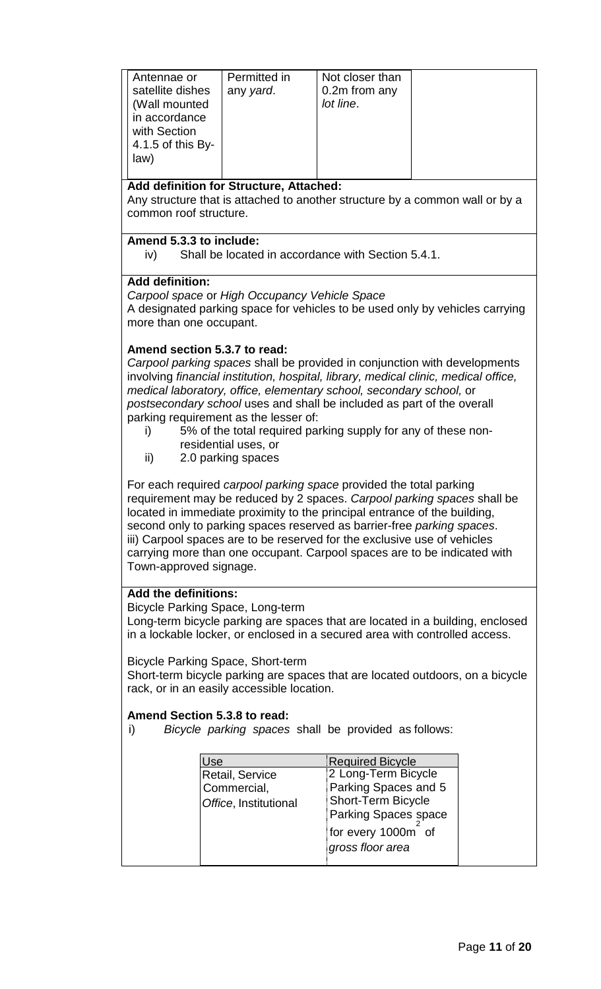| Permitted in<br>Not closer than<br>Antennae or<br>0.2m from any<br>satellite dishes<br>any yard.<br>(Wall mounted<br>lot line.<br>in accordance<br>with Section<br>4.1.5 of this By-<br>law) |  |  |  |
|----------------------------------------------------------------------------------------------------------------------------------------------------------------------------------------------|--|--|--|
|                                                                                                                                                                                              |  |  |  |

#### **Add definition for Structure, Attached:**

Any structure that is attached to another structure by a common wall or by a common roof structure.

#### **Amend 5.3.3 to include:**

iv) Shall be located in accordance with Section 5.4.1.

#### **Add definition:**

*Carpool space* or *High Occupancy Vehicle Space* A designated parking space for vehicles to be used only by vehicles carrying more than one occupant.

#### **Amend section 5.3.7 to read:**

*Carpool parking spaces* shall be provided in conjunction with developments involving *financial institution, hospital, library, medical clinic, medical office, medical laboratory, office, elementary school, secondary school,* or *postsecondary school* uses and shall be included as part of the overall parking requirement as the lesser of:

- i) 5% of the total required parking supply for any of these nonresidential uses, or
- ii) 2.0 parking spaces

For each required *carpool parking space* provided the total parking requirement may be reduced by 2 spaces. *Carpool parking spaces* shall be located in immediate proximity to the principal entrance of the building, second only to parking spaces reserved as barrier-free *parking spaces*. iii) Carpool spaces are to be reserved for the exclusive use of vehicles carrying more than one occupant. Carpool spaces are to be indicated with Town-approved signage.

## **Add the definitions:**

Bicycle Parking Space, Long-term

Long-term bicycle parking are spaces that are located in a building, enclosed in a lockable locker, or enclosed in a secured area with controlled access.

Bicycle Parking Space, Short-term

Short-term bicycle parking are spaces that are located outdoors, on a bicycle rack, or in an easily accessible location.

#### **Amend Section 5.3.8 to read:**

i) *Bicycle parking spaces* shall be provided as follows:

| Jse                   | <b>Required Bicycle</b>   |
|-----------------------|---------------------------|
| Retail, Service       | 2 Long-Term Bicycle       |
| Commercial,           | Parking Spaces and 5      |
| Office, Institutional | <b>Short-Term Bicycle</b> |
|                       | Parking Spaces space      |
|                       | for every 1000m of        |
|                       | gross floor area          |
|                       |                           |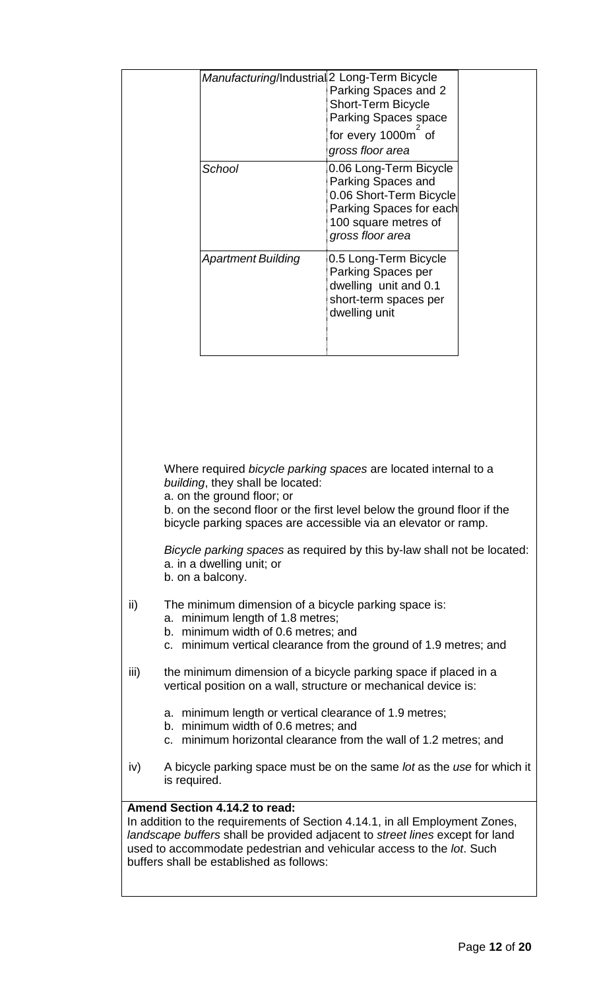|      |                                                                                                                                                                                                                                                                                 | Manufacturing/Industrial 2 Long-Term Bicycle | Parking Spaces and 2<br><b>Short-Term Bicycle</b><br>Parking Spaces space<br>for every 1000m of<br>gross floor area                            |  |
|------|---------------------------------------------------------------------------------------------------------------------------------------------------------------------------------------------------------------------------------------------------------------------------------|----------------------------------------------|------------------------------------------------------------------------------------------------------------------------------------------------|--|
|      |                                                                                                                                                                                                                                                                                 | School                                       | 0.06 Long-Term Bicycle<br>Parking Spaces and<br>0.06 Short-Term Bicycle<br>Parking Spaces for each<br>100 square metres of<br>gross floor area |  |
|      |                                                                                                                                                                                                                                                                                 | <b>Apartment Building</b>                    | 0.5 Long-Term Bicycle<br>Parking Spaces per<br>dwelling unit and 0.1<br>short-term spaces per<br>dwelling unit                                 |  |
|      |                                                                                                                                                                                                                                                                                 |                                              |                                                                                                                                                |  |
|      |                                                                                                                                                                                                                                                                                 |                                              |                                                                                                                                                |  |
|      | Where required bicycle parking spaces are located internal to a<br>building, they shall be located:<br>a. on the ground floor; or<br>b. on the second floor or the first level below the ground floor if the<br>bicycle parking spaces are accessible via an elevator or ramp.  |                                              |                                                                                                                                                |  |
|      | Bicycle parking spaces as required by this by-law shall not be located:<br>a. in a dwelling unit; or<br>b. on a balcony.                                                                                                                                                        |                                              |                                                                                                                                                |  |
| ii)  | The minimum dimension of a bicycle parking space is:<br>a. minimum length of 1.8 metres;<br>b. minimum width of 0.6 metres; and<br>c. minimum vertical clearance from the ground of 1.9 metres; and                                                                             |                                              |                                                                                                                                                |  |
| iii) | the minimum dimension of a bicycle parking space if placed in a<br>vertical position on a wall, structure or mechanical device is:                                                                                                                                              |                                              |                                                                                                                                                |  |
|      | a. minimum length or vertical clearance of 1.9 metres;<br>b. minimum width of 0.6 metres; and<br>c. minimum horizontal clearance from the wall of 1.2 metres; and                                                                                                               |                                              |                                                                                                                                                |  |
| iv)  | A bicycle parking space must be on the same lot as the use for which it<br>is required.                                                                                                                                                                                         |                                              |                                                                                                                                                |  |
|      |                                                                                                                                                                                                                                                                                 | Amend Section 4.14.2 to read:                |                                                                                                                                                |  |
|      | In addition to the requirements of Section 4.14.1, in all Employment Zones,<br>landscape buffers shall be provided adjacent to street lines except for land<br>used to accommodate pedestrian and vehicular access to the lot. Such<br>buffers shall be established as follows: |                                              |                                                                                                                                                |  |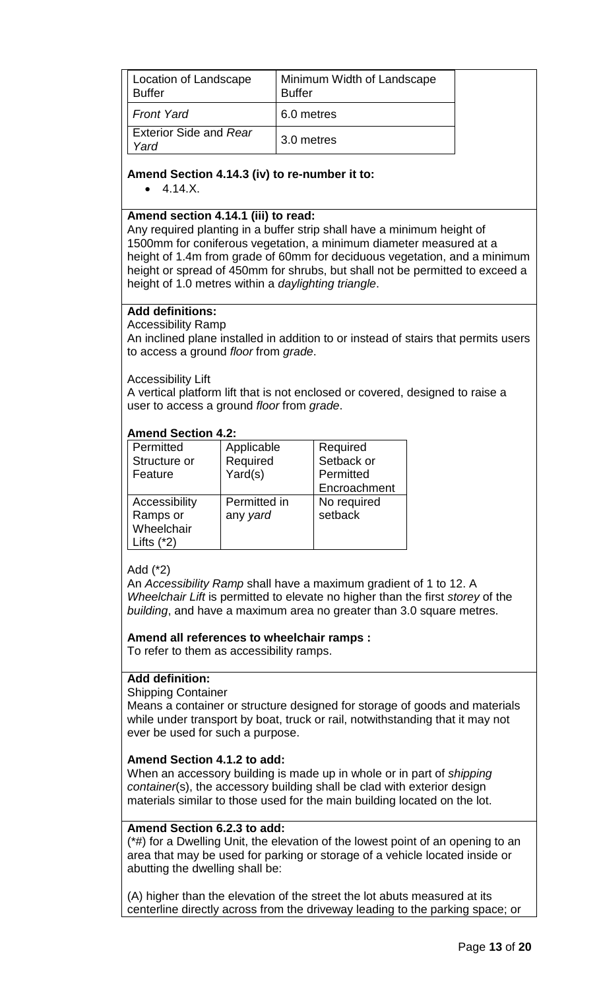| Location of Landscape<br><b>Buffer</b> | Minimum Width of Landscape<br><b>Buffer</b> |
|----------------------------------------|---------------------------------------------|
| <b>Front Yard</b>                      | 6.0 metres                                  |
| <b>Exterior Side and Rear</b><br>Yard  | 3.0 metres                                  |

#### **Amend Section 4.14.3 (iv) to re-number it to:**

 $• 4.14.X.$ 

#### **Amend section 4.14.1 (iii) to read:**

Any required planting in a buffer strip shall have a minimum height of 1500mm for coniferous vegetation, a minimum diameter measured at a height of 1.4m from grade of 60mm for deciduous vegetation, and a minimum height or spread of 450mm for shrubs, but shall not be permitted to exceed a height of 1.0 metres within a *daylighting triangle*.

#### **Add definitions:**

Accessibility Ramp

An [inclined plane](https://en.wikipedia.org/wiki/Inclined_plane) installed in addition to or instead of [stairs](https://en.wikipedia.org/wiki/Stairway) that permits users to access a ground *floor* from *grade*.

Accessibility Lift

A vertical platform lift that is not enclosed or covered, designed to raise a user to access a ground *floor* from *grade*.

#### **Amend Section 4.2:**

| Permitted     | Applicable   | Required     |
|---------------|--------------|--------------|
| Structure or  | Required     | Setback or   |
| Feature       | Yard(s)      | Permitted    |
|               |              | Encroachment |
| Accessibility | Permitted in | No required  |
| Ramps or      | any yard     | setback      |
| Wheelchair    |              |              |
| Lifts $(*2)$  |              |              |

## Add (\*2)

An *Accessibility Ramp* shall have a maximum gradient of 1 to 12. A *Wheelchair Lift* is permitted to elevate no higher than the first *storey* of the *building*, and have a maximum area no greater than 3.0 square metres.

#### **Amend all references to wheelchair ramps :**

To refer to them as accessibility ramps.

## **Add definition:**

#### Shipping Container

Means a container or structure designed for storage of goods and materials while under transport by boat, truck or rail, notwithstanding that it may not ever be used for such a purpose.

## **Amend Section 4.1.2 to add:**

When an accessory building is made up in whole or in part of *shipping container*(s), the accessory building shall be clad with exterior design materials similar to those used for the main building located on the lot.

#### **Amend Section 6.2.3 to add:**

(\*#) for a Dwelling Unit, the elevation of the lowest point of an opening to an area that may be used for parking or storage of a vehicle located inside or abutting the dwelling shall be:

(A) higher than the elevation of the street the lot abuts measured at its centerline directly across from the driveway leading to the parking space; or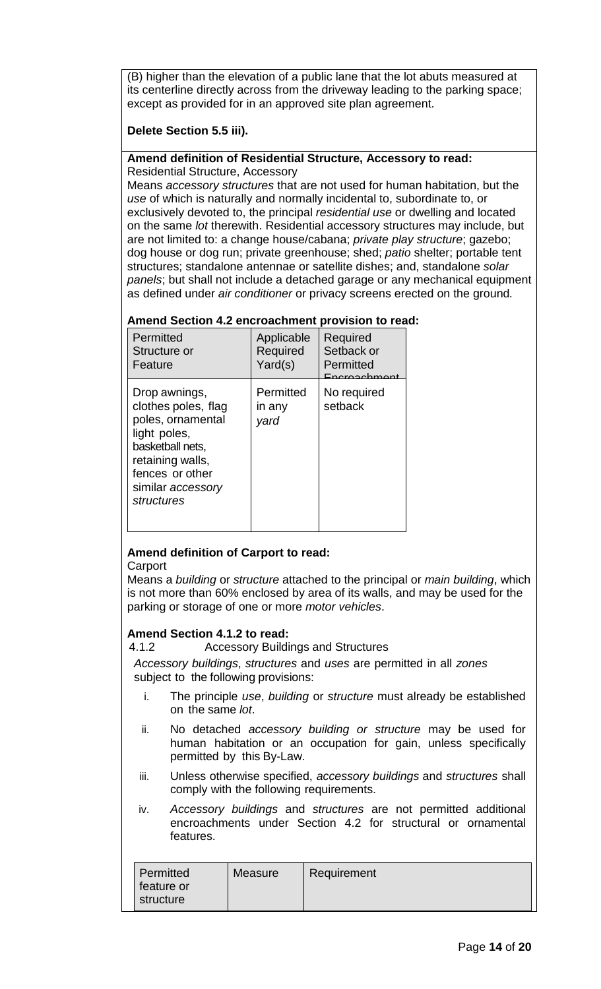(B) higher than the elevation of a public lane that the lot abuts measured at its centerline directly across from the driveway leading to the parking space; except as provided for in an approved site plan agreement.

## **Delete Section 5.5 iii).**

#### **Amend definition of Residential Structure, Accessory to read:** Residential Structure, Accessory

Means *accessory structures* that are not used for human habitation, but the *use* of which is naturally and normally incidental to, subordinate to, or exclusively devoted to, the principal *residential use* or dwelling and located on the same *lot* therewith. Residential accessory structures may include, but are not limited to: a change house/cabana; *private play structure*; gazebo; dog house or dog run; private greenhouse; shed; *patio* shelter; portable tent structures; standalone antennae or satellite dishes; and, standalone *solar panels*; but shall not include a detached garage or any mechanical equipment as defined under *air conditioner* or privacy screens erected on the ground*.* 

#### **Amend Section 4.2 encroachment provision to read:**

| Permitted<br>Structure or<br>Feature                                                                                                                                    | Applicable<br>Required<br>Yard(s) | Required<br>Setback or<br>Permitted<br>Encroachmont |
|-------------------------------------------------------------------------------------------------------------------------------------------------------------------------|-----------------------------------|-----------------------------------------------------|
| Drop awnings,<br>clothes poles, flag<br>poles, ornamental<br>light poles,<br>basketball nets.<br>retaining walls,<br>fences or other<br>similar accessory<br>structures | Permitted<br>in any<br>yard       | No required<br>setback                              |

## **Amend definition of Carport to read:**

**Carport** 

Means a *building* or *structure* attached to the principal or *main building*, which is not more than 60% enclosed by area of its walls, and may be used for the parking or storage of one or more *motor vehicles*.

## **Amend Section 4.1.2 to read:**

4.1.2 Accessory Buildings and Structures

*Accessory buildings*, *structures* and *uses* are permitted in all *zones* subject to the following provisions:

- i. The principle *use*, *building* or *structure* must already be established on the same *lot*.
- ii. No detached *accessory building or structure* may be used for human habitation or an occupation for gain, unless specifically permitted by this By-Law.
- iii. Unless otherwise specified, *accessory buildings* and *structures* shall comply with the following requirements.
- iv. *Accessory buildings* and *structures* are not permitted additional encroachments under Section 4.2 for structural or ornamental features.

| Permitted<br>feature or | Measure | Requirement |
|-------------------------|---------|-------------|
| structure               |         |             |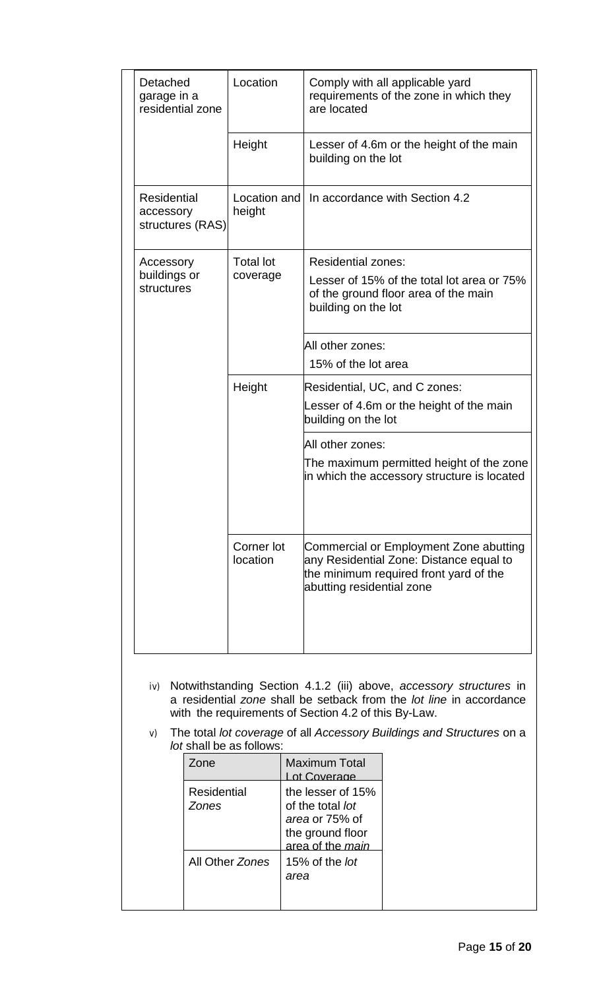| Detached<br>garage in a<br>residential zone  | Location               | Comply with all applicable yard<br>requirements of the zone in which they<br>are located                                                                 |
|----------------------------------------------|------------------------|----------------------------------------------------------------------------------------------------------------------------------------------------------|
|                                              | Height                 | Lesser of 4.6m or the height of the main<br>building on the lot                                                                                          |
| Residential<br>accessory<br>structures (RAS) | Location and<br>height | In accordance with Section 4.2                                                                                                                           |
| Accessory                                    | <b>Total lot</b>       | <b>Residential zones:</b>                                                                                                                                |
| buildings or<br>structures                   | coverage               | Lesser of 15% of the total lot area or 75%<br>of the ground floor area of the main<br>building on the lot                                                |
|                                              |                        | All other zones:                                                                                                                                         |
|                                              |                        | 15% of the lot area                                                                                                                                      |
|                                              | Height                 | Residential, UC, and C zones:                                                                                                                            |
|                                              |                        | Lesser of 4.6m or the height of the main<br>building on the lot                                                                                          |
|                                              |                        | All other zones:                                                                                                                                         |
|                                              |                        | The maximum permitted height of the zone<br>in which the accessory structure is located                                                                  |
|                                              | Corner lot<br>location | Commercial or Employment Zone abutting<br>any Residential Zone: Distance equal to<br>the minimum required front yard of the<br>abutting residential zone |

- iv) Notwithstanding Section 4.1.2 (iii) above, *accessory structures* in a residential *zone* shall be setback from the *lot line* in accordance with the requirements of Section 4.2 of this By-Law.
- v) The total *lot coverage* of all *Accessory Buildings and Structures* on a *lot* shall be as follows:

| Zone                               | Maximum Total<br>of Coverage                                                                           |
|------------------------------------|--------------------------------------------------------------------------------------------------------|
| <b>Residential</b><br><b>Zones</b> | the lesser of 15%<br>of the total lot<br>area or 75% of<br>the ground floor<br>area of the <i>main</i> |
| All Other Zones                    | 15% of the lot<br>area                                                                                 |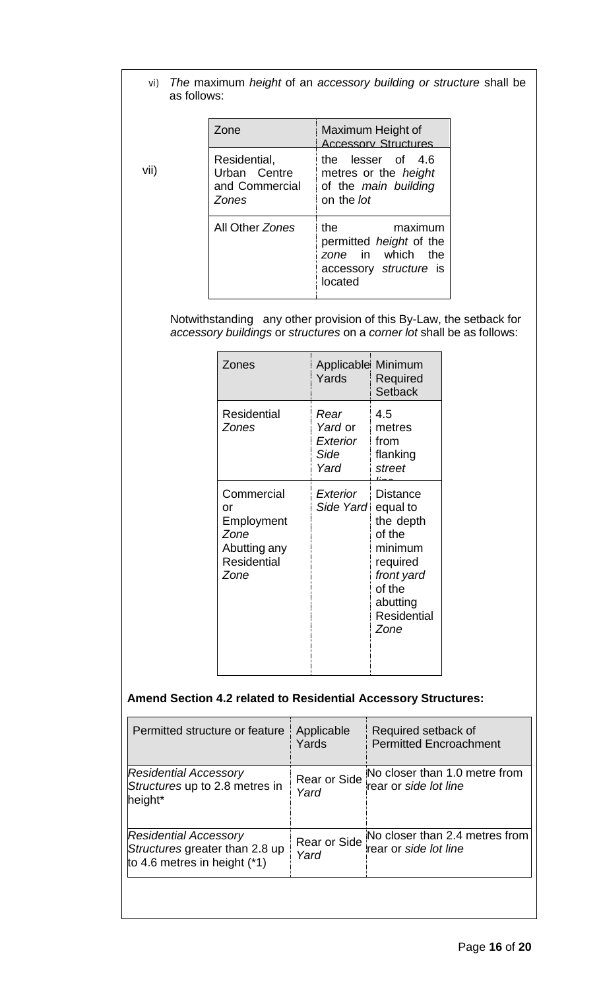## vi) *The* maximum *height* of an *accessory building or structure* shall be as follows:

| Zone                                                           | Maximum Height of<br><b>Accessory Structures</b>                                                              |
|----------------------------------------------------------------|---------------------------------------------------------------------------------------------------------------|
| Residential,<br>Urban Centre<br>and Commercial<br><b>Zones</b> | the lesser of 4.6<br>metres or the <i>height</i><br>of the main building<br>on the <i>lot</i>                 |
| All Other Zones                                                | the<br>maximum<br>permitted <i>height</i> of the<br>zone in<br>which the<br>accessory structure is<br>located |

vii)

Notwithstanding any other provision of this By-Law, the setback for *accessory buildings* or *structures* on a *corner lot* shall be as follows:

| Zones                                                                                | Applicable Minimum<br>Yards                        | Required<br><b>Setback</b>                                                                                                           |
|--------------------------------------------------------------------------------------|----------------------------------------------------|--------------------------------------------------------------------------------------------------------------------------------------|
| Residential<br>Zones                                                                 | Rear<br><i>Yard</i> or<br>Exterior<br>Side<br>Yard | 4.5<br>metres<br>from<br>flanking<br>street                                                                                          |
| Commercial<br>or<br>Employment<br>Zone<br>Abutting any<br><b>Residential</b><br>Zone | Exterior<br>Side Yard                              | Distance<br>equal to<br>the depth<br>of the<br>minimum<br>required<br>front yard<br>of the<br>abutting<br><b>Residential</b><br>Zone |

## **Amend Section 4.2 related to Residential Accessory Structures:**

| Permitted structure or feature                                                                   | Applicable<br>Yards  | Required setback of<br><b>Permitted Encroachment</b>    |
|--------------------------------------------------------------------------------------------------|----------------------|---------------------------------------------------------|
| <b>Residential Accessory</b><br>Structures up to 2.8 metres in<br>height*                        | Rear or Side<br>Yard | No closer than 1.0 metre from<br>rear or side lot line  |
| <b>Residential Accessory</b><br>Structures greater than 2.8 up<br>to 4.6 metres in height $(*1)$ | Rear or Side<br>Yard | No closer than 2.4 metres from<br>rear or side lot line |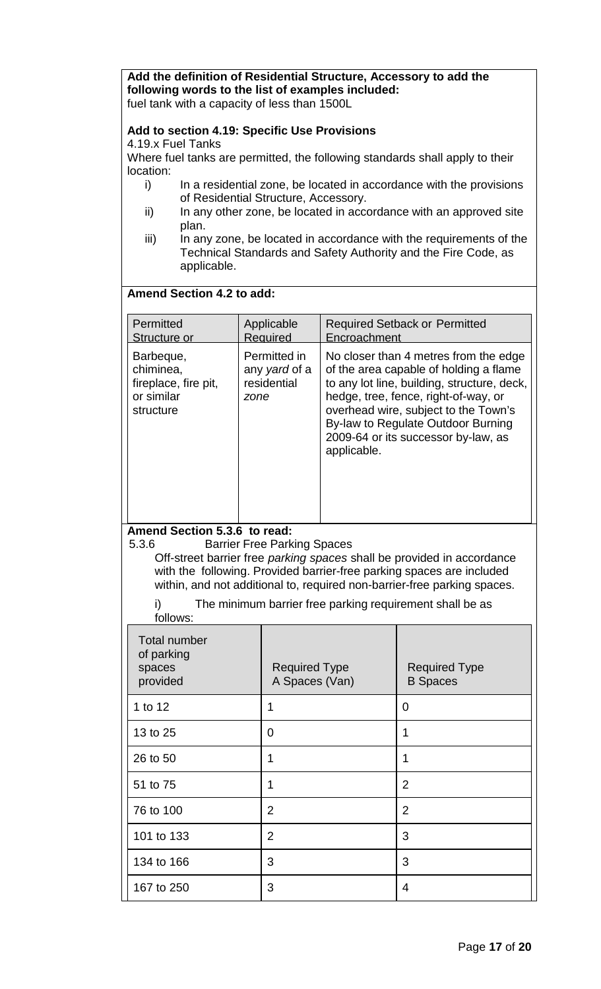**Add the definition of Residential Structure, Accessory to add the following words to the list of examples included:**  fuel tank with a capacity of less than 1500L

## **Add to section 4.19: Specific Use Provisions**

4.19.x Fuel Tanks

Where fuel tanks are permitted, the following standards shall apply to their location:

- i) In a residential zone, be located in accordance with the provisions of Residential Structure, Accessory.
- ii) In any other zone, be located in accordance with an approved site plan.
- iii) In any zone, be located in accordance with the requirements of the Technical Standards and Safety Authority and the Fire Code, as applicable.

## **Amend Section 4.2 to add:**

| Permitted                                                                 | Applicable                                           | <b>Required Setback or Permitted</b>                                                                                                                                                                                                                                                                       |
|---------------------------------------------------------------------------|------------------------------------------------------|------------------------------------------------------------------------------------------------------------------------------------------------------------------------------------------------------------------------------------------------------------------------------------------------------------|
| Structure or                                                              | Required                                             | Encroachment                                                                                                                                                                                                                                                                                               |
| Barbeque,<br>chiminea,<br>fireplace, fire pit,<br>or similar<br>structure | Permitted in<br>any yard of a<br>residential<br>zone | No closer than 4 metres from the edge<br>of the area capable of holding a flame<br>to any lot line, building, structure, deck,<br>hedge, tree, fence, right-of-way, or<br>overhead wire, subject to the Town's<br>By-law to Regulate Outdoor Burning<br>2009-64 or its successor by-law, as<br>applicable. |

## Amend Section 5.3.6 to read:<br>5.3.6 **Barrier Free Park**

**Barrier Free Parking Spaces** 

Off-street barrier free *parking spaces* shall be provided in accordance with the following. Provided barrier-free parking spaces are included within, and not additional to, required non-barrier-free parking spaces.

i) The minimum barrier free parking requirement shall be as  $f_0$ llows:

| <b>IUIIUWS.</b>                                         |                                        |                                         |
|---------------------------------------------------------|----------------------------------------|-----------------------------------------|
| <b>Total number</b><br>of parking<br>spaces<br>provided | <b>Required Type</b><br>A Spaces (Van) | <b>Required Type</b><br><b>B</b> Spaces |
| 1 to 12                                                 | 1                                      | 0                                       |
| 13 to 25                                                | 0                                      | 1                                       |
| 26 to 50                                                | 1                                      | 1                                       |
| 51 to 75                                                | 1                                      | $\overline{2}$                          |
| 76 to 100                                               | $\overline{2}$                         | $\overline{2}$                          |
| 101 to 133                                              | $\overline{2}$                         | 3                                       |
| 134 to 166                                              | 3                                      | 3                                       |
| 167 to 250                                              | 3                                      | 4                                       |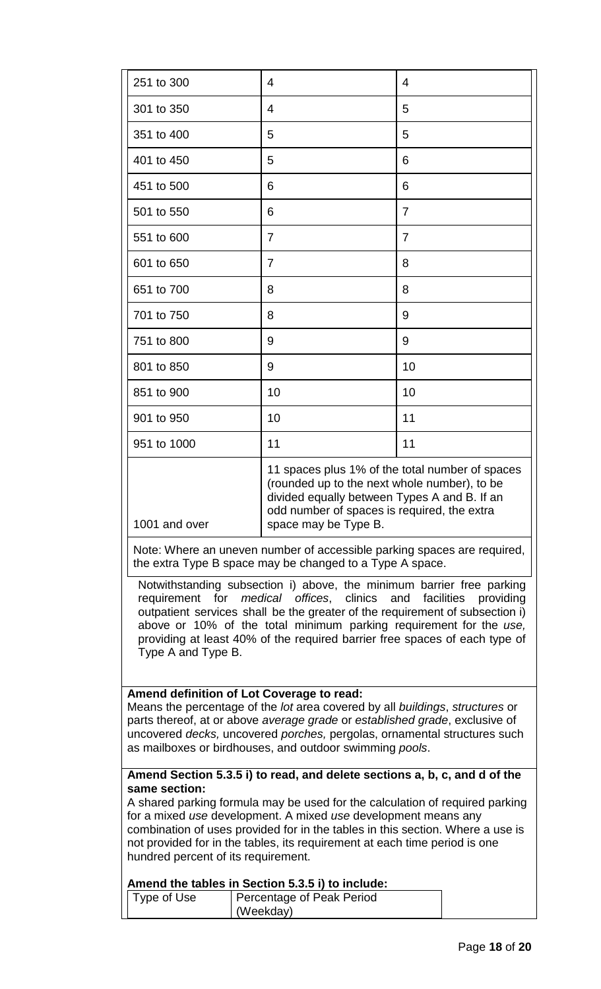| 251 to 300                                           | 4                                                                                                                                                                                                                                                                                                                                                                                                                                                                                                                                          | 4                                                                                                                                                                                              |           |
|------------------------------------------------------|--------------------------------------------------------------------------------------------------------------------------------------------------------------------------------------------------------------------------------------------------------------------------------------------------------------------------------------------------------------------------------------------------------------------------------------------------------------------------------------------------------------------------------------------|------------------------------------------------------------------------------------------------------------------------------------------------------------------------------------------------|-----------|
| 301 to 350                                           | 4                                                                                                                                                                                                                                                                                                                                                                                                                                                                                                                                          | 5                                                                                                                                                                                              |           |
| 351 to 400                                           | 5                                                                                                                                                                                                                                                                                                                                                                                                                                                                                                                                          | 5                                                                                                                                                                                              |           |
| 401 to 450                                           | 5                                                                                                                                                                                                                                                                                                                                                                                                                                                                                                                                          | 6                                                                                                                                                                                              |           |
| 451 to 500                                           | 6                                                                                                                                                                                                                                                                                                                                                                                                                                                                                                                                          | 6                                                                                                                                                                                              |           |
| 501 to 550                                           | 6                                                                                                                                                                                                                                                                                                                                                                                                                                                                                                                                          | 7                                                                                                                                                                                              |           |
| 551 to 600                                           | 7                                                                                                                                                                                                                                                                                                                                                                                                                                                                                                                                          | 7                                                                                                                                                                                              |           |
| 601 to 650                                           | $\overline{7}$                                                                                                                                                                                                                                                                                                                                                                                                                                                                                                                             | 8                                                                                                                                                                                              |           |
| 651 to 700                                           | 8                                                                                                                                                                                                                                                                                                                                                                                                                                                                                                                                          | 8                                                                                                                                                                                              |           |
| 701 to 750                                           | 8                                                                                                                                                                                                                                                                                                                                                                                                                                                                                                                                          | 9                                                                                                                                                                                              |           |
| 751 to 800                                           | 9                                                                                                                                                                                                                                                                                                                                                                                                                                                                                                                                          | 9                                                                                                                                                                                              |           |
| 801 to 850                                           | 9                                                                                                                                                                                                                                                                                                                                                                                                                                                                                                                                          | 10                                                                                                                                                                                             |           |
| 851 to 900                                           | 10                                                                                                                                                                                                                                                                                                                                                                                                                                                                                                                                         | 10                                                                                                                                                                                             |           |
| 901 to 950                                           | 10                                                                                                                                                                                                                                                                                                                                                                                                                                                                                                                                         | 11                                                                                                                                                                                             |           |
| 951 to 1000                                          | 11                                                                                                                                                                                                                                                                                                                                                                                                                                                                                                                                         | 11                                                                                                                                                                                             |           |
| 1001 and over<br>Type A and Type B.                  | space may be Type B.<br>Note: Where an uneven number of accessible parking spaces are required,<br>the extra Type B space may be changed to a Type A space.<br>Notwithstanding subsection i) above, the minimum barrier free parking<br>requirement for <i>medical</i> offices, clinics and facilities<br>outpatient services shall be the greater of the requirement of subsection i)<br>above or 10% of the total minimum parking requirement for the use,<br>providing at least 40% of the required barrier free spaces of each type of | 11 spaces plus 1% of the total number of spaces<br>(rounded up to the next whole number), to be<br>divided equally between Types A and B. If an<br>odd number of spaces is required, the extra | providing |
|                                                      | Amend definition of Lot Coverage to read:<br>Means the percentage of the lot area covered by all buildings, structures or<br>parts thereof, at or above average grade or established grade, exclusive of<br>uncovered decks, uncovered porches, pergolas, ornamental structures such<br>as mailboxes or birdhouses, and outdoor swimming pools.                                                                                                                                                                                            |                                                                                                                                                                                                |           |
| same section:<br>hundred percent of its requirement. | Amend Section 5.3.5 i) to read, and delete sections a, b, c, and d of the<br>A shared parking formula may be used for the calculation of required parking<br>for a mixed use development. A mixed use development means any<br>combination of uses provided for in the tables in this section. Where a use is<br>not provided for in the tables, its requirement at each time period is one                                                                                                                                                |                                                                                                                                                                                                |           |
| Type of Use                                          | Amend the tables in Section 5.3.5 i) to include:<br>Percentage of Peak Period                                                                                                                                                                                                                                                                                                                                                                                                                                                              |                                                                                                                                                                                                |           |
|                                                      | (Weekday)                                                                                                                                                                                                                                                                                                                                                                                                                                                                                                                                  |                                                                                                                                                                                                |           |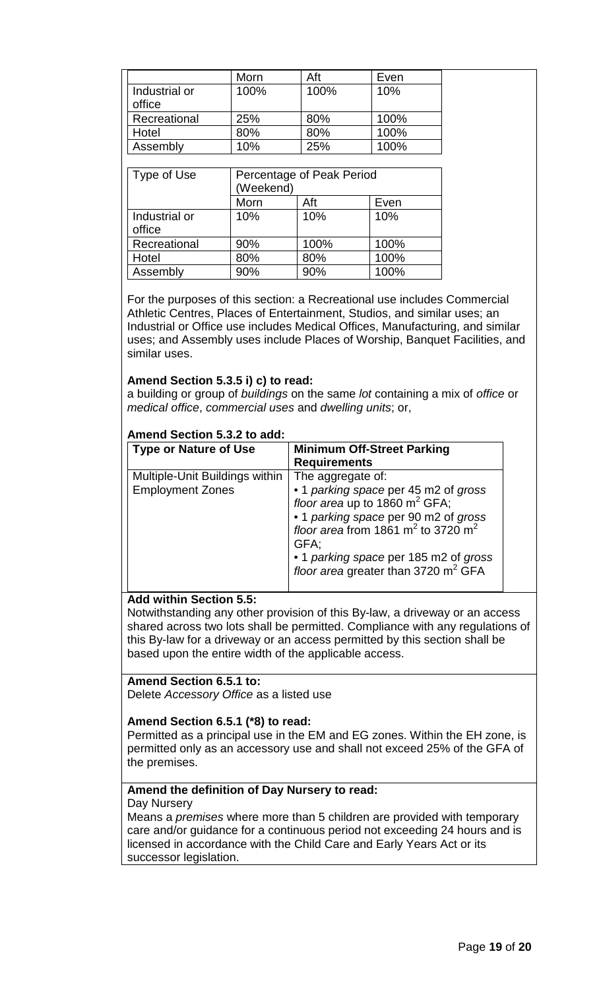|                         | Morn | Aft  | Even |
|-------------------------|------|------|------|
| Industrial or<br>office | 100% | 100% | 10%  |
| Recreational            | 25%  | 80%  | 100% |
| Hotel                   | 80%  | 80%  | 100% |
| Assembly                | 10%  | 25%  | 100% |

| Type of Use             | Percentage of Peak Period<br>(Weekend) |      |      |
|-------------------------|----------------------------------------|------|------|
|                         | Morn                                   | Aft  | Even |
| Industrial or<br>office | 10%                                    | 10%  | 10%  |
| Recreational            | 90%                                    | 100% | 100% |
| Hotel                   | 80%                                    | 80%  | 100% |
| Assembly                | 90%                                    | 90%  | 100% |

For the purposes of this section: a Recreational use includes Commercial Athletic Centres, Places of Entertainment, Studios, and similar uses; an Industrial or Office use includes Medical Offices, Manufacturing, and similar uses; and Assembly uses include Places of Worship, Banquet Facilities, and similar uses.

#### **Amend Section 5.3.5 i) c) to read:**

a building or group of *buildings* on the same *lot* containing a mix of *office* or *medical office*, *commercial uses* and *dwelling units*; or,

| Amend Section 5.3.2 to add:    |                                                                                                                  |
|--------------------------------|------------------------------------------------------------------------------------------------------------------|
| <b>Type or Nature of Use</b>   | <b>Minimum Off-Street Parking</b>                                                                                |
|                                | <b>Requirements</b>                                                                                              |
| Multiple-Unit Buildings within | The aggregate of:                                                                                                |
| <b>Employment Zones</b>        | • 1 parking space per 45 m2 of gross                                                                             |
|                                | floor area up to 1860 m <sup>2</sup> GFA;                                                                        |
|                                | • 1 <i>parking space</i> per 90 m2 of <i>gross</i><br>floor area from 1861 m <sup>2</sup> to 3720 m <sup>2</sup> |
|                                |                                                                                                                  |
|                                | GFA:                                                                                                             |
|                                | • 1 parking space per 185 m2 of gross                                                                            |
|                                | floor area greater than 3720 $m^2$ GFA                                                                           |
|                                |                                                                                                                  |

#### **Add within Section 5.5:**

Notwithstanding any other provision of this By-law, a driveway or an access shared across two lots shall be permitted. Compliance with any regulations of this By-law for a driveway or an access permitted by this section shall be based upon the entire width of the applicable access.

#### **Amend Section 6.5.1 to:**

Delete *Accessory Office* as a listed use

#### **Amend Section 6.5.1 (\*8) to read:**

Permitted as a principal use in the EM and EG zones. Within the EH zone, is permitted only as an accessory use and shall not exceed 25% of the GFA of the premises.

#### **Amend the definition of Day Nursery to read:**

#### Day Nursery

Means a *premises* where more than 5 children are provided with temporary care and/or guidance for a continuous period not exceeding 24 hours and is licensed in accordance with the Child Care and Early Years Act or its successor legislation.